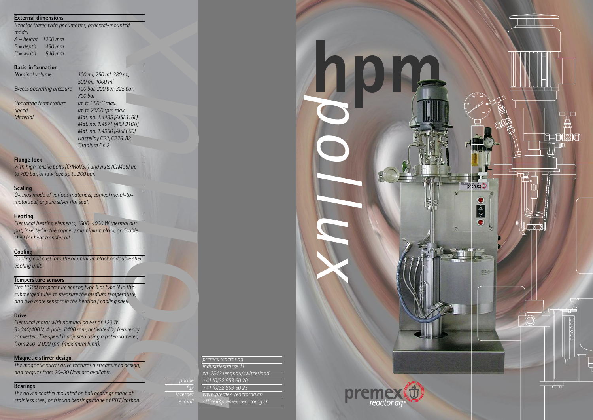



## **External dimensions**

| A = height  | 1200 mm |
|-------------|---------|
| $B = depth$ | 430 mm  |
| $C = width$ | 540 mm  |

#### **Basic information**

| <b>External dimensions</b>                      |                              |
|-------------------------------------------------|------------------------------|
| Reactor frame with pneumatics, pedestal-mounted |                              |
| model                                           |                              |
| $A = height$<br>1200 mm                         |                              |
| $B = depth$ 430 mm                              |                              |
| $C = width$ 540 mm                              |                              |
|                                                 |                              |
| <b>Basic information</b>                        |                              |
| Nominal volume                                  | 100 ml, 250 ml, 380 ml,      |
|                                                 | 500 ml, 1000 ml              |
| <b>Excess operating pressure</b>                | 100 bar, 200 bar, 325 bar,   |
|                                                 | 700 bar                      |
| Operating temperature                           | up to 350°C max.             |
| <b>Speed</b>                                    | up to 2'000 rpm max.         |
| <b>Material</b>                                 | Mat. no. 1.4435 (AISI 316L)  |
|                                                 | Mat. no. 1.4571 (AISI 316Ti) |
|                                                 | Mat. no. 1.4980 (AISI 660)   |
|                                                 | Hastelloy C22, C276, B3      |
|                                                 | Titanium Gr. 2               |
|                                                 |                              |

*lwith high tensile bolts(CrMoV57) and nuts(CrMo5) up to 700 bar, or jaw lock up to 200 bar.*

*loop W thermal out-*<br>um block, or double *Electrical heating elements, 1500–4000 W thermal output, inserted in the copper / aluminium block, or double shell for heat transfer oil.*

## **Flange lock**

*o*<br>*other*<br>*otture,*<br>*cll. One Pt100 temperature sensor, type K or type N in the submerged tube, to measure the medium temperature, and two more sensorsin the heating / cooling shell.*

# **Sealing**

*O-rings made of various materials, conical metal-tometalseal, or pure silver flatseal.*

#### **Heating**

design,<br>
design,<br> *phone*<br> *phone*<br> *phone*<br> *fax*<br> *fax*<br> *fax*<br> *fax*<br> *fax*<br> *fax*<br> *fax*<br> *fax*<br> *fax*<br> *fax*<br> *phone*<br> *fax*<br> *fax*<br> *ment*<br> *ment*<br> *ment*<br> *ment*<br> *ment*<br> *ment*<br> *ment*<br> *ment*<br> *ment*<br> *ment*<br> *men premex reactor ag industriestrasse 11 ch-2543 lengnau/switzerland +41 (0)32 653 60 20 +41 (0)32 653 60 25 www.premex-reactorag.ch office@premex-reactorag.ch*

### **Cooling**

*Cooling coil cast into the aluminium block or double shell cooling unit.*

### **Temperature sensors**

## **Drive**

*Electrical motor with nominal power of 120 W, 3x240/400 V, 4-pole, 1'400 rpm, activated by frequency converter. The speed is adjusted using a potentiometer, from 200–2'000 rpm (maximum limit).*

# **Magnetic stirrer design**

*The magnetic stirrer drive features a streamlined design, and torquesfrom 20–90 Ncm are available.*

### **Bearings**

*The driven shaft is mounted on ball bearings made of stainlesssteel, or friction bearings made of PTFE/carbon.*

# *phone fax internet e-mail*